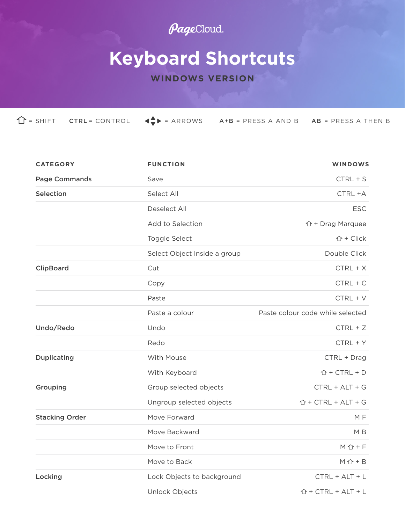## PageCloud.

## **Keyboard Shortcuts**

## **WINDOWS VERSION**

|  |  |  | $\hat{D}$ = SHIFT CTRL = CONTROL $\triangleq$ > = ARROWS A+B = PRESS A AND B AB = PRESS A THEN B |  |
|--|--|--|--------------------------------------------------------------------------------------------------|--|
|--|--|--|--------------------------------------------------------------------------------------------------|--|

| <b>CATEGORY</b>       | <b>FUNCTION</b>              | <b>WINDOWS</b>                   |
|-----------------------|------------------------------|----------------------------------|
| <b>Page Commands</b>  | Save                         | $CTRL + S$                       |
| <b>Selection</b>      | Select All                   | CTRL +A                          |
|                       | Deselect All                 | <b>ESC</b>                       |
|                       | Add to Selection             | $\hat{U}$ + Drag Marquee         |
|                       | Toggle Select                | <b>☆ + Click</b>                 |
|                       | Select Object Inside a group | Double Click                     |
| <b>ClipBoard</b>      | Cut                          | $CTRL + X$                       |
|                       | Copy                         | $CTRL + C$                       |
|                       | Paste                        | CTRL + V                         |
|                       | Paste a colour               | Paste colour code while selected |
| Undo/Redo             | Undo                         | $CTRL + Z$                       |
|                       | Redo                         | CTRL + Y                         |
| <b>Duplicating</b>    | With Mouse                   | CTRL + Drag                      |
|                       | With Keyboard                | $\hat{U}$ + CTRL + D             |
| Grouping              | Group selected objects       | $CTRL + ALT + G$                 |
|                       | Ungroup selected objects     | $\hat{U}$ + CTRL + ALT + G       |
| <b>Stacking Order</b> | Move Forward                 | MF                               |
|                       | Move Backward                | M B                              |
|                       | Move to Front                | $M \tO + F$                      |
|                       | Move to Back                 | $M \tO + B$                      |
| Locking               | Lock Objects to background   | $CTRL + ALT + L$                 |
|                       | Unlock Objects               | $\hat{U}$ + CTRL + ALT + L       |